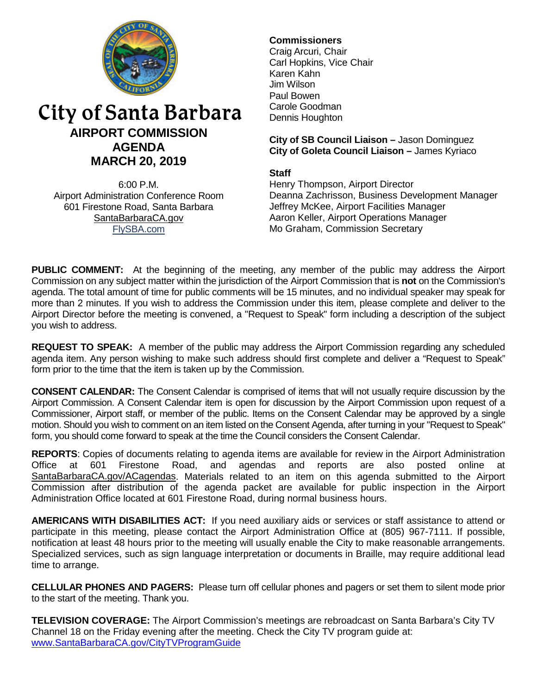

# City of Santa Barbara **AIRPORT COMMISSION AGENDA MARCH 20, 2019**

6:00 P.M. Airport Administration Conference Room 601 Firestone Road, Santa Barbara [SantaBarbaraCA.gov](http://www.santabarbaraca.gov/) [FlySBA.com](http://www.santabarbaraca.gov/gov/depts/flysba/default.asp?utm_source=FlySBA&utm_medium=Redirect&utm_campaign=ReferralTracking)

# **Commissioners**

Craig Arcuri, Chair Carl Hopkins, Vice Chair Karen Kahn Jim Wilson Paul Bowen Carole Goodman Dennis Houghton

**City of SB Council Liaison –** Jason Dominguez **City of Goleta Council Liaison –** James Kyriaco

# **Staff**

Henry Thompson, Airport Director Deanna Zachrisson, Business Development Manager Jeffrey McKee, Airport Facilities Manager Aaron Keller, Airport Operations Manager Mo Graham, Commission Secretary

**PUBLIC COMMENT:** At the beginning of the meeting, any member of the public may address the Airport Commission on any subject matter within the jurisdiction of the Airport Commission that is **not** on the Commission's agenda. The total amount of time for public comments will be 15 minutes, and no individual speaker may speak for more than 2 minutes. If you wish to address the Commission under this item, please complete and deliver to the Airport Director before the meeting is convened, a "Request to Speak" form including a description of the subject you wish to address.

**REQUEST TO SPEAK:** A member of the public may address the Airport Commission regarding any scheduled agenda item. Any person wishing to make such address should first complete and deliver a "Request to Speak" form prior to the time that the item is taken up by the Commission.

**CONSENT CALENDAR:** The Consent Calendar is comprised of items that will not usually require discussion by the Airport Commission. A Consent Calendar item is open for discussion by the Airport Commission upon request of a Commissioner, Airport staff, or member of the public. Items on the Consent Calendar may be approved by a single motion. Should you wish to comment on an item listed on the Consent Agenda, after turning in your "Request to Speak" form, you should come forward to speak at the time the Council considers the Consent Calendar.

**REPORTS**: Copies of documents relating to agenda items are available for review in the Airport Administration Office at 601 Firestone Road, and agendas and reports are also posted online at [SantaBarbaraCA.gov/ACagendas.](http://www.santabarbaraca.gov/gov/brdcomm/ac/airport/agendas.asp) Materials related to an item on this agenda submitted to the Airport Commission after distribution of the agenda packet are available for public inspection in the Airport Administration Office located at 601 Firestone Road, during normal business hours.

**AMERICANS WITH DISABILITIES ACT:** If you need auxiliary aids or services or staff assistance to attend or participate in this meeting, please contact the Airport Administration Office at (805) 967-7111. If possible, notification at least 48 hours prior to the meeting will usually enable the City to make reasonable arrangements. Specialized services, such as sign language interpretation or documents in Braille, may require additional lead time to arrange.

**CELLULAR PHONES AND PAGERS:** Please turn off cellular phones and pagers or set them to silent mode prior to the start of the meeting. Thank you.

**TELEVISION COVERAGE:** The Airport Commission's meetings are rebroadcast on Santa Barbara's City TV Channel 18 on the Friday evening after the meeting. Check the City TV program guide at: [www.SantaBarbaraCA.gov/CityTVProgramGuide](http://www.santabarbaraca.gov/CityTVProgramGuide)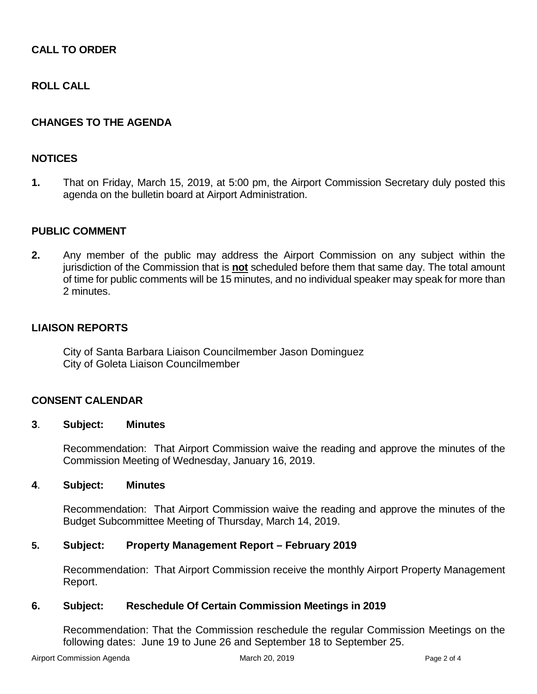# **CALL TO ORDER**

# **ROLL CALL**

# **CHANGES TO THE AGENDA**

# **NOTICES**

**1.** That on Friday, March 15, 2019, at 5:00 pm, the Airport Commission Secretary duly posted this agenda on the bulletin board at Airport Administration.

# **PUBLIC COMMENT**

**2.** Any member of the public may address the Airport Commission on any subject within the jurisdiction of the Commission that is **not** scheduled before them that same day. The total amount of time for public comments will be 15 minutes, and no individual speaker may speak for more than 2 minutes.

# **LIAISON REPORTS**

City of Santa Barbara Liaison Councilmember Jason Dominguez City of Goleta Liaison Councilmember

# **CONSENT CALENDAR**

#### **3**. **Subject: Minutes**

Recommendation: That Airport Commission waive the reading and approve the minutes of the Commission Meeting of Wednesday, January 16, 2019.

#### **4**. **Subject: Minutes**

Recommendation: That Airport Commission waive the reading and approve the minutes of the Budget Subcommittee Meeting of Thursday, March 14, 2019.

#### **5. Subject: Property Management Report – February 2019**

Recommendation: That Airport Commission receive the monthly Airport Property Management Report.

#### **6. Subject: Reschedule Of Certain Commission Meetings in 2019**

Recommendation: That the Commission reschedule the regular Commission Meetings on the following dates: June 19 to June 26 and September 18 to September 25.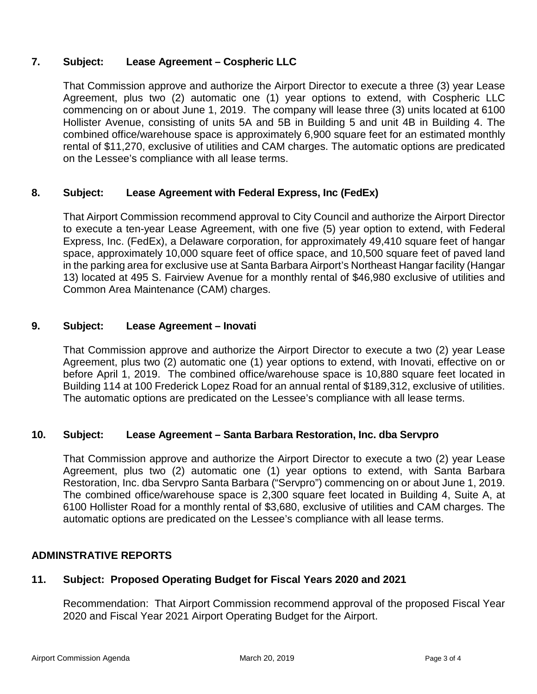# **7. Subject: Lease Agreement – Cospheric LLC**

That Commission approve and authorize the Airport Director to execute a three (3) year Lease Agreement, plus two (2) automatic one (1) year options to extend, with Cospheric LLC commencing on or about June 1, 2019. The company will lease three (3) units located at 6100 Hollister Avenue, consisting of units 5A and 5B in Building 5 and unit 4B in Building 4. The combined office/warehouse space is approximately 6,900 square feet for an estimated monthly rental of \$11,270, exclusive of utilities and CAM charges. The automatic options are predicated on the Lessee's compliance with all lease terms.

# **8. Subject: Lease Agreement with Federal Express, Inc (FedEx)**

That Airport Commission recommend approval to City Council and authorize the Airport Director to execute a ten-year Lease Agreement, with one five (5) year option to extend, with Federal Express, Inc. (FedEx), a Delaware corporation, for approximately 49,410 square feet of hangar space, approximately 10,000 square feet of office space, and 10,500 square feet of paved land in the parking area for exclusive use at Santa Barbara Airport's Northeast Hangar facility (Hangar 13) located at 495 S. Fairview Avenue for a monthly rental of \$46,980 exclusive of utilities and Common Area Maintenance (CAM) charges.

# **9. Subject: Lease Agreement – Inovati**

That Commission approve and authorize the Airport Director to execute a two (2) year Lease Agreement, plus two (2) automatic one (1) year options to extend, with Inovati, effective on or before April 1, 2019. The combined office/warehouse space is 10,880 square feet located in Building 114 at 100 Frederick Lopez Road for an annual rental of \$189,312, exclusive of utilities. The automatic options are predicated on the Lessee's compliance with all lease terms.

# **10. Subject: Lease Agreement – Santa Barbara Restoration, Inc. dba Servpro**

That Commission approve and authorize the Airport Director to execute a two (2) year Lease Agreement, plus two (2) automatic one (1) year options to extend, with Santa Barbara Restoration, Inc. dba Servpro Santa Barbara ("Servpro") commencing on or about June 1, 2019. The combined office/warehouse space is 2,300 square feet located in Building 4, Suite A, at 6100 Hollister Road for a monthly rental of \$3,680, exclusive of utilities and CAM charges. The automatic options are predicated on the Lessee's compliance with all lease terms.

# **ADMINSTRATIVE REPORTS**

# **11. Subject: Proposed Operating Budget for Fiscal Years 2020 and 2021**

Recommendation: That Airport Commission recommend approval of the proposed Fiscal Year 2020 and Fiscal Year 2021 Airport Operating Budget for the Airport.